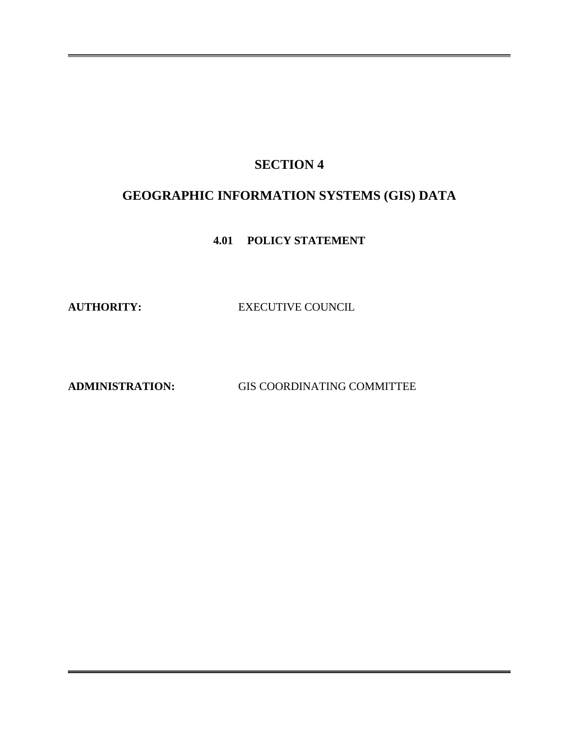## **SECTION 4**

# **GEOGRAPHIC INFORMATION SYSTEMS (GIS) DATA**

**4.01 POLICY STATEMENT**

**AUTHORITY:** EXECUTIVE COUNCIL

**ADMINISTRATION:** GIS COORDINATING COMMITTEE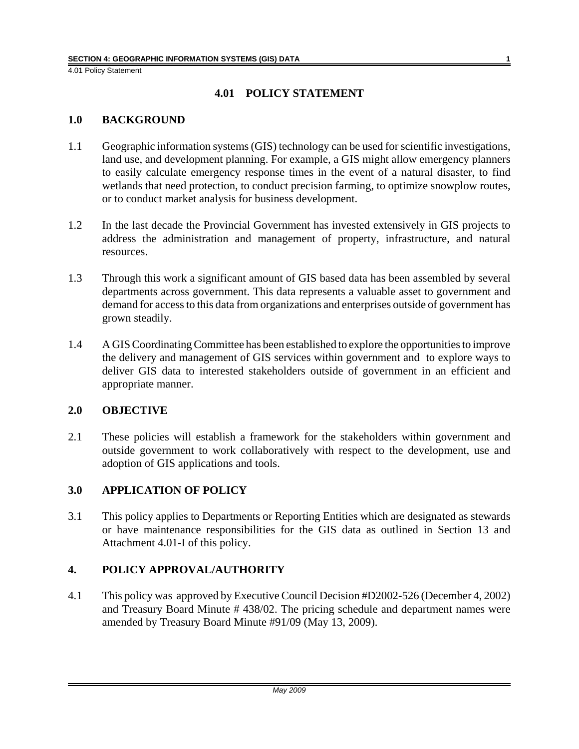4.01 Policy Statement

## **4.01 POLICY STATEMENT**

#### **1.0 BACKGROUND**

- 1.1 Geographic information systems (GIS) technology can be used for scientific investigations, land use, and development planning. For example, a GIS might allow emergency planners to easily calculate emergency response times in the event of a natural disaster, to find wetlands that need protection, to conduct precision farming, to optimize snowplow routes, or to conduct market analysis for business development.
- 1.2 In the last decade the Provincial Government has invested extensively in GIS projects to address the administration and management of property, infrastructure, and natural resources.
- 1.3 Through this work a significant amount of GIS based data has been assembled by several departments across government. This data represents a valuable asset to government and demand for access to this data from organizations and enterprises outside of government has grown steadily.
- 1.4 A GIS Coordinating Committee has been established to explore the opportunities to improve the delivery and management of GIS services within government and to explore ways to deliver GIS data to interested stakeholders outside of government in an efficient and appropriate manner.

#### **2.0 OBJECTIVE**

2.1 These policies will establish a framework for the stakeholders within government and outside government to work collaboratively with respect to the development, use and adoption of GIS applications and tools.

## **3.0 APPLICATION OF POLICY**

3.1 This policy applies to Departments or Reporting Entities which are designated as stewards or have maintenance responsibilities for the GIS data as outlined in Section 13 and Attachment 4.01-I of this policy.

## **4. POLICY APPROVAL/AUTHORITY**

4.1 This policy was approved by Executive Council Decision #D2002-526 (December 4, 2002) and Treasury Board Minute # 438/02. The pricing schedule and department names were amended by Treasury Board Minute #91/09 (May 13, 2009).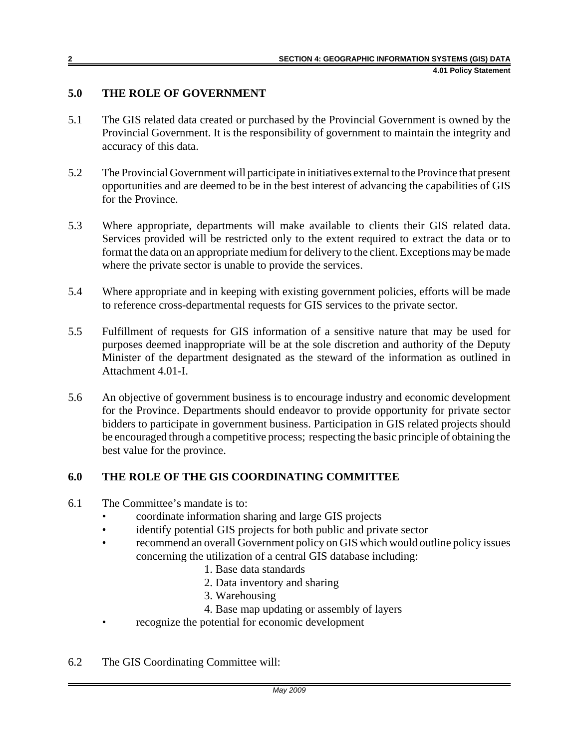## **5.0 THE ROLE OF GOVERNMENT**

- 5.1 The GIS related data created or purchased by the Provincial Government is owned by the Provincial Government. It is the responsibility of government to maintain the integrity and accuracy of this data.
- 5.2 The Provincial Government will participate in initiatives external to the Province that present opportunities and are deemed to be in the best interest of advancing the capabilities of GIS for the Province.
- 5.3 Where appropriate, departments will make available to clients their GIS related data. Services provided will be restricted only to the extent required to extract the data or to format the data on an appropriate medium for delivery to the client. Exceptions may be made where the private sector is unable to provide the services.
- 5.4 Where appropriate and in keeping with existing government policies, efforts will be made to reference cross-departmental requests for GIS services to the private sector.
- 5.5 Fulfillment of requests for GIS information of a sensitive nature that may be used for purposes deemed inappropriate will be at the sole discretion and authority of the Deputy Minister of the department designated as the steward of the information as outlined in Attachment 4.01-I.
- 5.6 An objective of government business is to encourage industry and economic development for the Province. Departments should endeavor to provide opportunity for private sector bidders to participate in government business. Participation in GIS related projects should be encouraged through a competitive process; respecting the basic principle of obtaining the best value for the province.

## **6.0 THE ROLE OF THE GIS COORDINATING COMMITTEE**

- 6.1 The Committee's mandate is to:
	- coordinate information sharing and large GIS projects
	- identify potential GIS projects for both public and private sector
	- recommend an overall Government policy on GIS which would outline policy issues concerning the utilization of a central GIS database including:
		- 1. Base data standards
		- 2. Data inventory and sharing
		- 3. Warehousing
		- 4. Base map updating or assembly of layers
	- recognize the potential for economic development
- 6.2 The GIS Coordinating Committee will: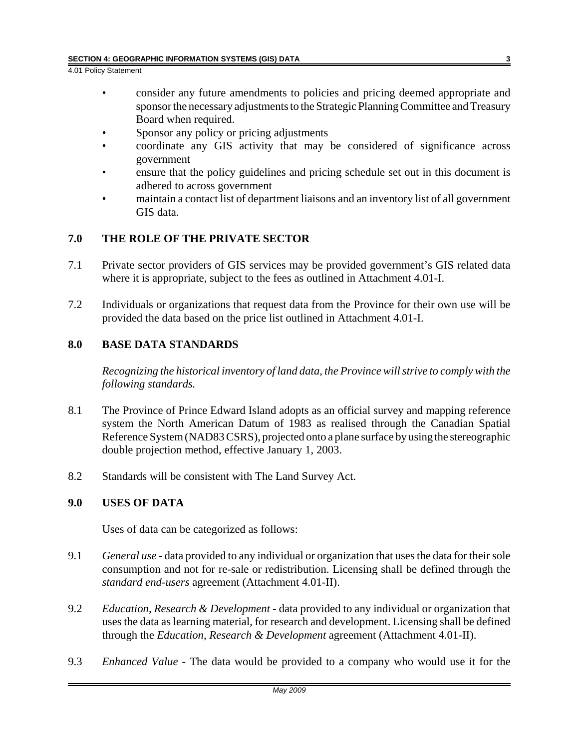4.01 Policy Statement

- consider any future amendments to policies and pricing deemed appropriate and sponsor the necessary adjustments to the Strategic Planning Committee and Treasury Board when required.
- Sponsor any policy or pricing adjustments
- coordinate any GIS activity that may be considered of significance across government
- ensure that the policy guidelines and pricing schedule set out in this document is adhered to across government
- maintain a contact list of department liaisons and an inventory list of all government GIS data.

#### **7.0 THE ROLE OF THE PRIVATE SECTOR**

- 7.1 Private sector providers of GIS services may be provided government's GIS related data where it is appropriate, subject to the fees as outlined in Attachment 4.01-I.
- 7.2 Individuals or organizations that request data from the Province for their own use will be provided the data based on the price list outlined in Attachment 4.01-I.

#### **8.0 BASE DATA STANDARDS**

*Recognizing the historical inventory of land data, the Province will strive to comply with the following standards.* 

- 8.1 The Province of Prince Edward Island adopts as an official survey and mapping reference system the North American Datum of 1983 as realised through the Canadian Spatial Reference System (NAD83 CSRS), projected onto a plane surface by using the stereographic double projection method, effective January 1, 2003.
- 8.2 Standards will be consistent with The Land Survey Act.

#### **9.0 USES OF DATA**

Uses of data can be categorized as follows:

- 9.1 *General use* data provided to any individual or organization that uses the data for their sole consumption and not for re-sale or redistribution. Licensing shall be defined through the *standard end-users* agreement (Attachment 4.01-II).
- 9.2 *Education, Research & Development* data provided to any individual or organization that uses the data as learning material, for research and development. Licensing shall be defined through the *Education, Research & Development* agreement (Attachment 4.01-II).
- 9.3 *Enhanced Value* The data would be provided to a company who would use it for the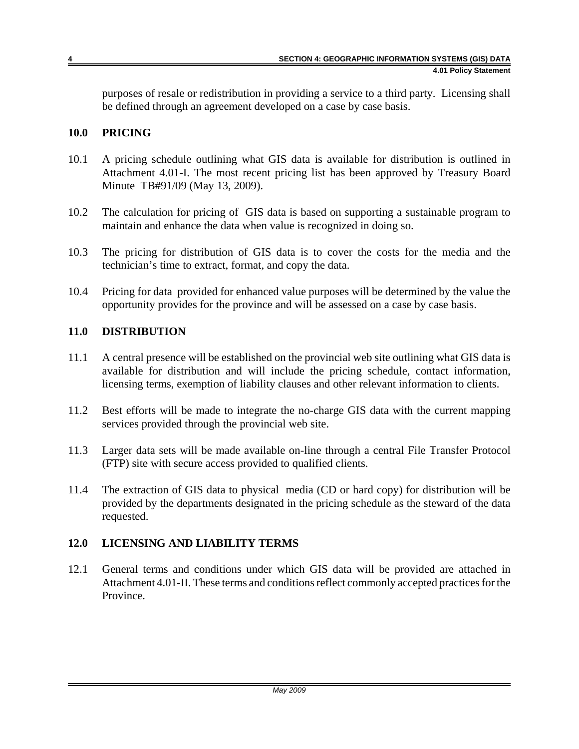purposes of resale or redistribution in providing a service to a third party. Licensing shall be defined through an agreement developed on a case by case basis.

### **10.0 PRICING**

- 10.1 A pricing schedule outlining what GIS data is available for distribution is outlined in Attachment 4.01-I. The most recent pricing list has been approved by Treasury Board Minute TB#91/09 (May 13, 2009).
- 10.2 The calculation for pricing of GIS data is based on supporting a sustainable program to maintain and enhance the data when value is recognized in doing so.
- 10.3 The pricing for distribution of GIS data is to cover the costs for the media and the technician's time to extract, format, and copy the data.
- 10.4 Pricing for data provided for enhanced value purposes will be determined by the value the opportunity provides for the province and will be assessed on a case by case basis.

#### **11.0 DISTRIBUTION**

- 11.1 A central presence will be established on the provincial web site outlining what GIS data is available for distribution and will include the pricing schedule, contact information, licensing terms, exemption of liability clauses and other relevant information to clients.
- 11.2 Best efforts will be made to integrate the no-charge GIS data with the current mapping services provided through the provincial web site.
- 11.3 Larger data sets will be made available on-line through a central File Transfer Protocol (FTP) site with secure access provided to qualified clients.
- 11.4 The extraction of GIS data to physical media (CD or hard copy) for distribution will be provided by the departments designated in the pricing schedule as the steward of the data requested.

## **12.0 LICENSING AND LIABILITY TERMS**

12.1 General terms and conditions under which GIS data will be provided are attached in Attachment 4.01-II. These terms and conditions reflect commonly accepted practices for the Province.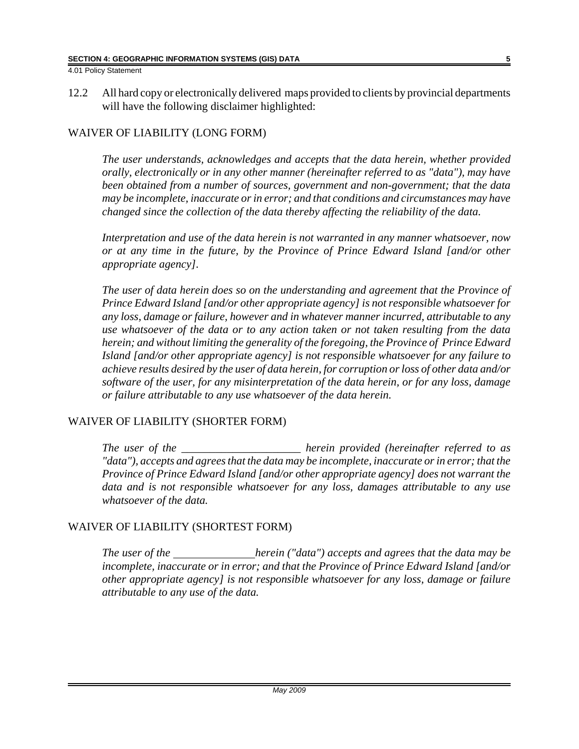4.01 Policy Statement

12.2 All hard copy or electronically delivered maps provided to clients by provincial departments will have the following disclaimer highlighted:

## WAIVER OF LIABILITY (LONG FORM)

*The user understands, acknowledges and accepts that the data herein, whether provided orally, electronically or in any other manner (hereinafter referred to as "data"), may have been obtained from a number of sources, government and non-government; that the data may be incomplete, inaccurate or in error; and that conditions and circumstances may have changed since the collection of the data thereby affecting the reliability of the data.* 

*Interpretation and use of the data herein is not warranted in any manner whatsoever, now or at any time in the future, by the Province of Prince Edward Island [and/or other appropriate agency].*

*The user of data herein does so on the understanding and agreement that the Province of Prince Edward Island [and/or other appropriate agency] is not responsible whatsoever for any loss, damage or failure, however and in whatever manner incurred, attributable to any use whatsoever of the data or to any action taken or not taken resulting from the data herein; and without limiting the generality of the foregoing, the Province of Prince Edward Island [and/or other appropriate agency] is not responsible whatsoever for any failure to achieve results desired by the user of data herein, for corruption or loss of other data and/or software of the user, for any misinterpretation of the data herein, or for any loss, damage or failure attributable to any use whatsoever of the data herein.*

## WAIVER OF LIABILITY (SHORTER FORM)

*The user of the \_\_\_\_\_\_\_\_\_\_\_\_\_\_\_\_\_\_\_\_\_ herein provided (hereinafter referred to as "data"), accepts and agrees that the data may be incomplete, inaccurate or in error; that the Province of Prince Edward Island [and/or other appropriate agency] does not warrant the data and is not responsible whatsoever for any loss, damages attributable to any use whatsoever of the data.* 

## WAIVER OF LIABILITY (SHORTEST FORM)

*The user of the* herein ("data") accepts and agrees that the data may be *incomplete, inaccurate or in error; and that the Province of Prince Edward Island [and/or other appropriate agency] is not responsible whatsoever for any loss, damage or failure attributable to any use of the data.*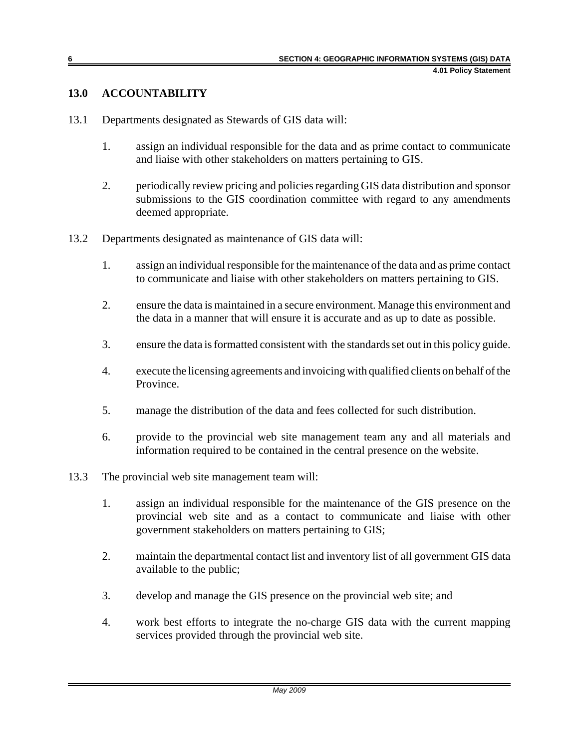#### **13.0 ACCOUNTABILITY**

- 13.1 Departments designated as Stewards of GIS data will:
	- 1. assign an individual responsible for the data and as prime contact to communicate and liaise with other stakeholders on matters pertaining to GIS.
	- 2. periodically review pricing and policies regarding GIS data distribution and sponsor submissions to the GIS coordination committee with regard to any amendments deemed appropriate.
- 13.2 Departments designated as maintenance of GIS data will:
	- 1. assign an individual responsible for the maintenance of the data and as prime contact to communicate and liaise with other stakeholders on matters pertaining to GIS.
	- 2. ensure the data is maintained in a secure environment. Manage this environment and the data in a manner that will ensure it is accurate and as up to date as possible.
	- 3. ensure the data is formatted consistent with the standards set out in this policy guide.
	- 4. execute the licensing agreements and invoicing with qualified clients on behalf of the Province.
	- 5. manage the distribution of the data and fees collected for such distribution.
	- 6. provide to the provincial web site management team any and all materials and information required to be contained in the central presence on the website.
- 13.3 The provincial web site management team will:
	- 1. assign an individual responsible for the maintenance of the GIS presence on the provincial web site and as a contact to communicate and liaise with other government stakeholders on matters pertaining to GIS;
	- 2. maintain the departmental contact list and inventory list of all government GIS data available to the public;
	- 3. develop and manage the GIS presence on the provincial web site; and
	- 4. work best efforts to integrate the no-charge GIS data with the current mapping services provided through the provincial web site.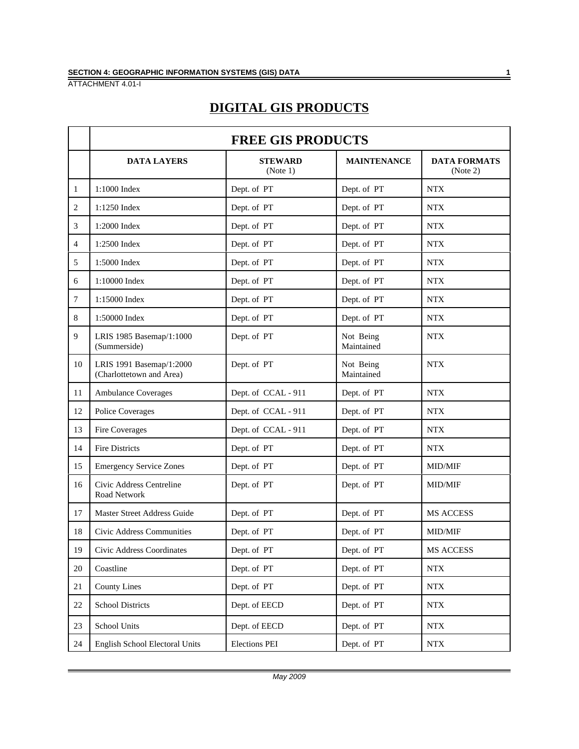# **DIGITAL GIS PRODUCTS**

|                | <b>FREE GIS PRODUCTS</b>                             |                            |                         |                                 |
|----------------|------------------------------------------------------|----------------------------|-------------------------|---------------------------------|
|                | <b>DATA LAYERS</b>                                   | <b>STEWARD</b><br>(Note 1) | <b>MAINTENANCE</b>      | <b>DATA FORMATS</b><br>(Note 2) |
| 1              | 1:1000 Index                                         | Dept. of PT                | Dept. of PT             | <b>NTX</b>                      |
| 2              | 1:1250 Index                                         | Dept. of PT                | Dept. of PT             | <b>NTX</b>                      |
| 3              | 1:2000 Index                                         | Dept. of PT                | Dept. of PT             | <b>NTX</b>                      |
| $\overline{4}$ | 1:2500 Index                                         | Dept. of PT                | Dept. of PT             | <b>NTX</b>                      |
| 5              | 1:5000 Index                                         | Dept. of PT                | Dept. of PT             | <b>NTX</b>                      |
| 6              | 1:10000 Index                                        | Dept. of PT                | Dept. of PT             | <b>NTX</b>                      |
| 7              | 1:15000 Index                                        | Dept. of PT                | Dept. of PT             | <b>NTX</b>                      |
| 8              | 1:50000 Index                                        | Dept. of PT                | Dept. of PT             | <b>NTX</b>                      |
| 9              | LRIS 1985 Basemap/1:1000<br>(Summerside)             | Dept. of PT                | Not Being<br>Maintained | <b>NTX</b>                      |
| 10             | LRIS 1991 Basemap/1:2000<br>(Charlottetown and Area) | Dept. of PT                | Not Being<br>Maintained | <b>NTX</b>                      |
| 11             | <b>Ambulance Coverages</b>                           | Dept. of CCAL - 911        | Dept. of PT             | <b>NTX</b>                      |
| 12             | <b>Police Coverages</b>                              | Dept. of CCAL - 911        | Dept. of PT             | <b>NTX</b>                      |
| 13             | Fire Coverages                                       | Dept. of CCAL - 911        | Dept. of PT             | <b>NTX</b>                      |
| 14             | <b>Fire Districts</b>                                | Dept. of PT                | Dept. of PT             | <b>NTX</b>                      |
| 15             | <b>Emergency Service Zones</b>                       | Dept. of PT                | Dept. of PT             | MID/MIF                         |
| 16             | Civic Address Centreline<br><b>Road Network</b>      | Dept. of PT                | Dept. of PT             | <b>MID/MIF</b>                  |
| 17             | Master Street Address Guide                          | Dept. of PT                | Dept. of PT             | MS ACCESS                       |
| 18             | Civic Address Communities                            | Dept. of PT                | Dept. of PT             | <b>MID/MIF</b>                  |
| 19             | Civic Address Coordinates                            | Dept. of PT                | Dept. of PT             | MS ACCESS                       |
| 20             | Coastline                                            | Dept. of PT                | Dept. of PT             | <b>NTX</b>                      |
| 21             | <b>County Lines</b>                                  | Dept. of PT                | Dept. of PT             | $\operatorname{NTX}$            |
| 22             | <b>School Districts</b>                              | Dept. of EECD              | Dept. of PT             | $\operatorname{NTX}$            |
| 23             | School Units                                         | Dept. of EECD              | Dept. of PT             | <b>NTX</b>                      |
| 24             | English School Electoral Units                       | <b>Elections PEI</b>       | Dept. of PT             | $\operatorname{NTX}$            |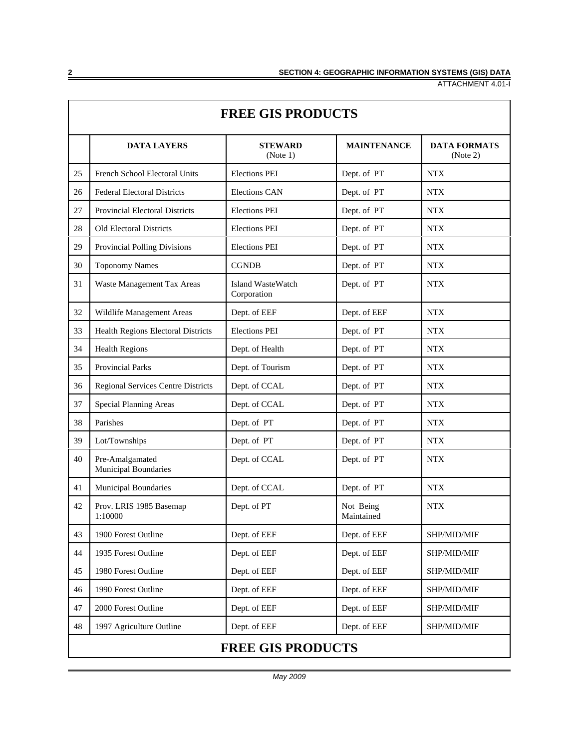| <b>FREE GIS PRODUCTS</b> |                                                |                                  |                         |                                 |
|--------------------------|------------------------------------------------|----------------------------------|-------------------------|---------------------------------|
|                          | <b>DATA LAYERS</b>                             | <b>STEWARD</b><br>(Note 1)       | <b>MAINTENANCE</b>      | <b>DATA FORMATS</b><br>(Note 2) |
| 25                       | French School Electoral Units                  | <b>Elections PEI</b>             | Dept. of PT             | <b>NTX</b>                      |
| 26                       | <b>Federal Electoral Districts</b>             | <b>Elections CAN</b>             | Dept. of PT             | <b>NTX</b>                      |
| 27                       | <b>Provincial Electoral Districts</b>          | <b>Elections PEI</b>             | Dept. of PT             | <b>NTX</b>                      |
| 28                       | <b>Old Electoral Districts</b>                 | <b>Elections PEI</b>             | Dept. of PT             | <b>NTX</b>                      |
| 29                       | Provincial Polling Divisions                   | <b>Elections PEI</b>             | Dept. of PT             | <b>NTX</b>                      |
| 30                       | <b>Toponomy Names</b>                          | <b>CGNDB</b>                     | Dept. of PT             | <b>NTX</b>                      |
| 31                       | Waste Management Tax Areas                     | Island WasteWatch<br>Corporation | Dept. of PT             | <b>NTX</b>                      |
| 32                       | Wildlife Management Areas                      | Dept. of EEF                     | Dept. of EEF            | <b>NTX</b>                      |
| 33                       | Health Regions Electoral Districts             | <b>Elections PEI</b>             | Dept. of PT             | <b>NTX</b>                      |
| 34                       | <b>Health Regions</b>                          | Dept. of Health                  | Dept. of PT             | <b>NTX</b>                      |
| 35                       | <b>Provincial Parks</b>                        | Dept. of Tourism                 | Dept. of PT             | <b>NTX</b>                      |
| 36                       | <b>Regional Services Centre Districts</b>      | Dept. of CCAL                    | Dept. of PT             | <b>NTX</b>                      |
| 37                       | <b>Special Planning Areas</b>                  | Dept. of CCAL                    | Dept. of PT             | <b>NTX</b>                      |
| 38                       | Parishes                                       | Dept. of PT                      | Dept. of PT             | <b>NTX</b>                      |
| 39                       | Lot/Townships                                  | Dept. of PT                      | Dept. of PT             | <b>NTX</b>                      |
| 40                       | Pre-Amalgamated<br><b>Municipal Boundaries</b> | Dept. of CCAL                    | Dept. of PT             | <b>NTX</b>                      |
| 41                       | Municipal Boundaries                           | Dept. of CCAL                    | Dept. of PT             | <b>NTX</b>                      |
| 42                       | Prov. LRIS 1985 Basemap<br>1:10000             | Dept. of PT                      | Not Being<br>Maintained | <b>NTX</b>                      |
| 43                       | 1900 Forest Outline                            | Dept. of EEF                     | Dept. of EEF            | SHP/MID/MIF                     |
| 44                       | 1935 Forest Outline                            | Dept. of EEF                     | Dept. of EEF            | SHP/MID/MIF                     |
| 45                       | 1980 Forest Outline                            | Dept. of EEF                     | Dept. of EEF            | SHP/MID/MIF                     |
| 46                       | 1990 Forest Outline                            | Dept. of EEF                     | Dept. of EEF            | SHP/MID/MIF                     |
| 47                       | 2000 Forest Outline                            | Dept. of EEF                     | Dept. of EEF            | SHP/MID/MIF                     |
| 48                       | 1997 Agriculture Outline                       | Dept. of EEF                     | Dept. of EEF            | SHP/MID/MIF                     |
| <b>FREE GIS PRODUCTS</b> |                                                |                                  |                         |                                 |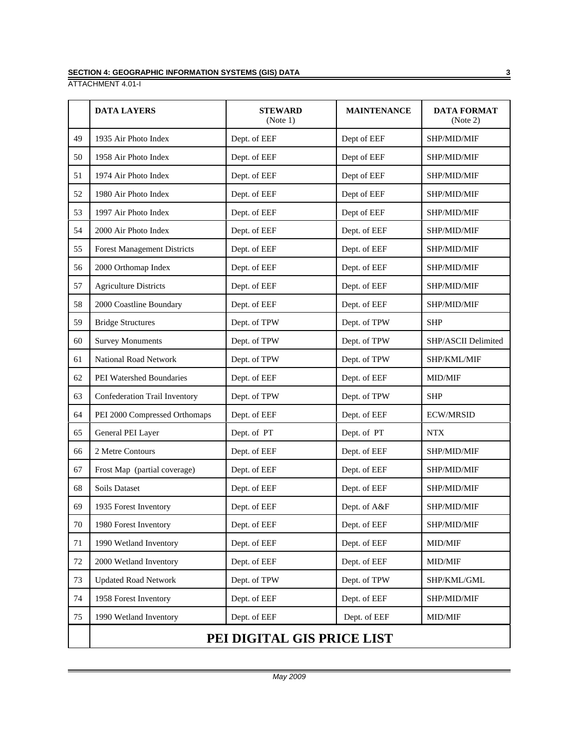#### **SECTION 4: GEOGRAPHIC INFORMATION SYSTEMS (GIS) DATA 3**

ATTACHMENT 4.01-I

|        | <b>DATA LAYERS</b>                 | <b>STEWARD</b><br>(Note 1)  | <b>MAINTENANCE</b> | <b>DATA FORMAT</b><br>(Note 2) |
|--------|------------------------------------|-----------------------------|--------------------|--------------------------------|
| 49     | 1935 Air Photo Index               | Dept. of EEF                | Dept of EEF        | SHP/MID/MIF                    |
| 50     | 1958 Air Photo Index               | Dept. of EEF<br>Dept of EEF |                    | SHP/MID/MIF                    |
| 51     | 1974 Air Photo Index               | Dept. of EEF                | Dept of EEF        | SHP/MID/MIF                    |
| 52     | 1980 Air Photo Index               | Dept. of EEF                | Dept of EEF        | SHP/MID/MIF                    |
| 53     | 1997 Air Photo Index               | Dept. of EEF                | Dept of EEF        | SHP/MID/MIF                    |
| 54     | 2000 Air Photo Index               | Dept. of EEF                | Dept. of EEF       | SHP/MID/MIF                    |
| 55     | <b>Forest Management Districts</b> | Dept. of EEF                | Dept. of EEF       | SHP/MID/MIF                    |
| 56     | 2000 Orthomap Index                | Dept. of EEF                | Dept. of EEF       | SHP/MID/MIF                    |
| 57     | <b>Agriculture Districts</b>       | Dept. of EEF                | Dept. of EEF       | SHP/MID/MIF                    |
| 58     | 2000 Coastline Boundary            | Dept. of EEF                | Dept. of EEF       | SHP/MID/MIF                    |
| 59     | <b>Bridge Structures</b>           | Dept. of TPW                | Dept. of TPW       | <b>SHP</b>                     |
| 60     | <b>Survey Monuments</b>            | Dept. of TPW                | Dept. of TPW       | SHP/ASCII Delimited            |
| 61     | National Road Network              | Dept. of TPW                | Dept. of TPW       | SHP/KML/MIF                    |
| 62     | PEI Watershed Boundaries           | Dept. of EEF                | Dept. of EEF       | <b>MID/MIF</b>                 |
| 63     | Confederation Trail Inventory      | Dept. of TPW                | Dept. of TPW       | <b>SHP</b>                     |
| 64     | PEI 2000 Compressed Orthomaps      | Dept. of EEF                | Dept. of EEF       | <b>ECW/MRSID</b>               |
| 65     | General PEI Layer                  | Dept. of PT                 | Dept. of PT        | <b>NTX</b>                     |
| 66     | 2 Metre Contours                   | Dept. of EEF                | Dept. of EEF       | SHP/MID/MIF                    |
| 67     | Frost Map (partial coverage)       | Dept. of EEF                | Dept. of EEF       | SHP/MID/MIF                    |
| 68     | Soils Dataset                      | Dept. of EEF                | Dept. of EEF       | SHP/MID/MIF                    |
| 69     | 1935 Forest Inventory              | Dept. of EEF                | Dept. of A&F       | SHP/MID/MIF                    |
| 70     | 1980 Forest Inventory              | Dept. of EEF                | Dept. of EEF       | SHP/MID/MIF                    |
| 71     | 1990 Wetland Inventory             | Dept. of EEF                | Dept. of EEF       | MID/MIF                        |
| $72\,$ | 2000 Wetland Inventory             | Dept. of EEF                | Dept. of EEF       | MID/MIF                        |
| 73     | <b>Updated Road Network</b>        | Dept. of TPW                | Dept. of TPW       | SHP/KML/GML                    |
| 74     | 1958 Forest Inventory              | Dept. of EEF                | Dept. of EEF       | SHP/MID/MIF                    |
| 75     | 1990 Wetland Inventory             | Dept. of EEF                | Dept. of EEF       | MID/MIF                        |
|        | PEI DIGITAL GIS PRICE LIST         |                             |                    |                                |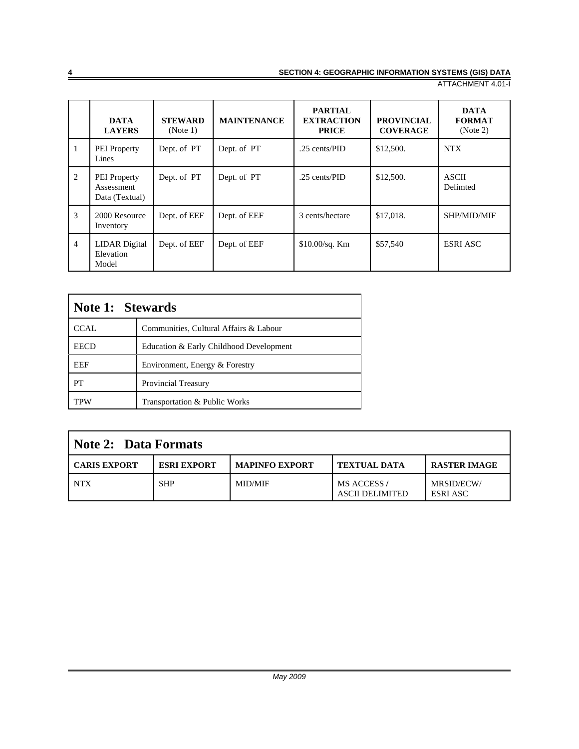|                | <b>DATA</b><br><b>LAYERS</b>                        | <b>STEWARD</b><br>(Note 1) | <b>MAINTENANCE</b> | <b>PARTIAL</b><br><b>EXTRACTION</b><br><b>PRICE</b> | <b>PROVINCIAL</b><br><b>COVERAGE</b> | <b>DATA</b><br><b>FORMAT</b><br>(Note 2) |
|----------------|-----------------------------------------------------|----------------------------|--------------------|-----------------------------------------------------|--------------------------------------|------------------------------------------|
| 1              | <b>PEI</b> Property<br>Lines                        | Dept. of PT                | Dept. of PT        | .25 cents/PID                                       | \$12,500.                            | <b>NTX</b>                               |
| 2              | <b>PEI</b> Property<br>Assessment<br>Data (Textual) | Dept. of PT                | Dept. of PT        | .25 cents/PID                                       | \$12,500.                            | <b>ASCII</b><br>Delimted                 |
| 3              | 2000 Resource<br>Inventory                          | Dept. of EEF               | Dept. of EEF       | 3 cents/hectare                                     | \$17,018.                            | SHP/MID/MIF                              |
| $\overline{4}$ | <b>LIDAR</b> Digital<br>Elevation<br>Model          | Dept. of EEF               | Dept. of EEF       | $$10.00$ /sq. Km                                    | \$57,540                             | <b>ESRI ASC</b>                          |

| Note 1: Stewards |                                         |  |
|------------------|-----------------------------------------|--|
| <b>CCAL</b>      | Communities, Cultural Affairs & Labour  |  |
| <b>EECD</b>      | Education & Early Childhood Development |  |
| EEF              | Environment, Energy & Forestry          |  |
| PT               | <b>Provincial Treasury</b>              |  |
| TPW              | Transportation & Public Works           |  |

| <b>Note 2: Data Formats</b> |                    |                       |                                      |                        |
|-----------------------------|--------------------|-----------------------|--------------------------------------|------------------------|
| <b>CARIS EXPORT</b>         | <b>ESRI EXPORT</b> | <b>MAPINFO EXPORT</b> | <b>TEXTUAL DATA</b>                  | <b>RASTER IMAGE</b>    |
| <b>NTX</b>                  | <b>SHP</b>         | <b>MID/MIF</b>        | MS ACCESS/<br><b>ASCII DELIMITED</b> | MRSID/ECW/<br>ESRI ASC |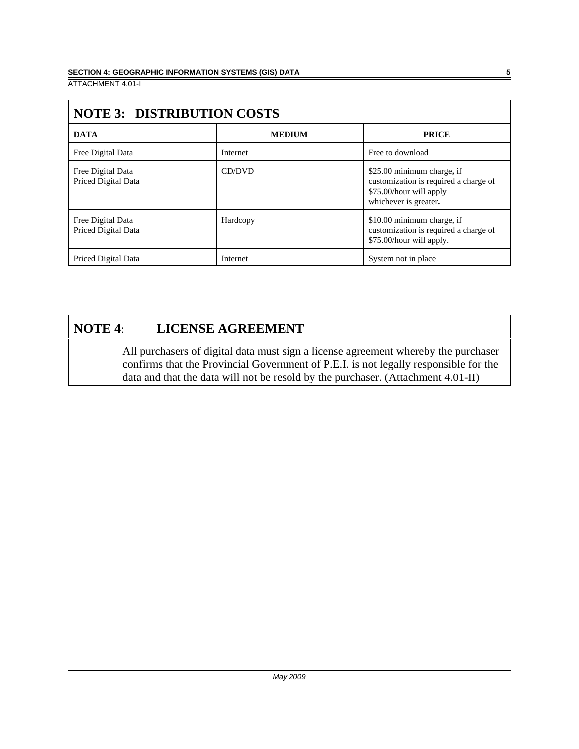| <b>NOTE 3: DISTRIBUTION COSTS</b>        |               |                                                                                                                         |  |
|------------------------------------------|---------------|-------------------------------------------------------------------------------------------------------------------------|--|
| <b>DATA</b>                              | <b>MEDIUM</b> | <b>PRICE</b>                                                                                                            |  |
| Free Digital Data                        | Internet      | Free to download                                                                                                        |  |
| Free Digital Data<br>Priced Digital Data | CD/DVD        | \$25.00 minimum charge, if<br>customization is required a charge of<br>\$75.00/hour will apply<br>whichever is greater. |  |
| Free Digital Data<br>Priced Digital Data | Hardcopy      | \$10.00 minimum charge, if<br>customization is required a charge of<br>\$75.00/hour will apply.                         |  |
| Priced Digital Data                      | Internet      | System not in place                                                                                                     |  |

# **NOTE 4**: **LICENSE AGREEMENT**

All purchasers of digital data must sign a license agreement whereby the purchaser confirms that the Provincial Government of P.E.I. is not legally responsible for the data and that the data will not be resold by the purchaser. (Attachment 4.01-II)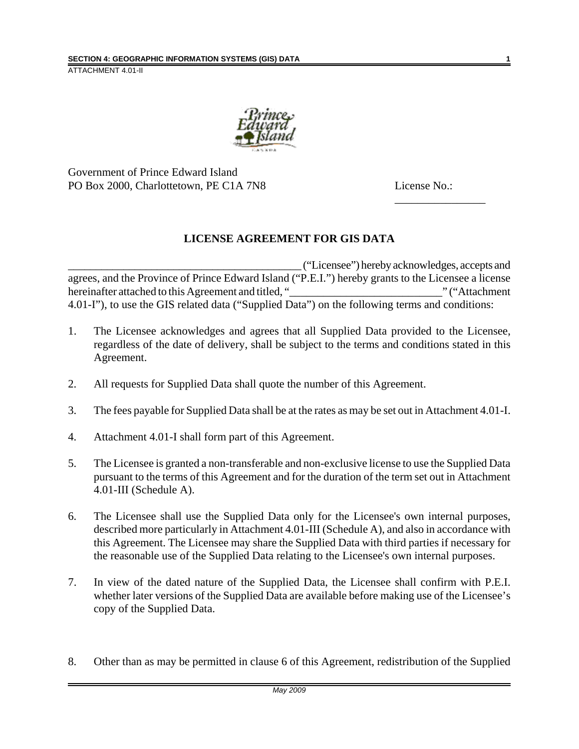

Government of Prince Edward Island PO Box 2000, Charlottetown, PE C1A 7N8 License No.:

\_\_\_\_\_\_\_\_\_\_\_\_\_\_\_\_

## **LICENSE AGREEMENT FOR GIS DATA**

\_\_\_\_\_\_\_\_\_\_\_\_\_\_\_\_\_\_\_\_\_\_\_\_\_\_\_\_\_\_\_\_\_\_\_\_\_\_\_\_\_\_ ("Licensee") hereby acknowledges, accepts and agrees, and the Province of Prince Edward Island ("P.E.I.") hereby grants to the Licensee a license hereinafter attached to this Agreement and titled, "\_\_\_\_\_\_\_\_\_\_\_\_\_\_\_\_\_\_\_\_\_\_\_\_\_\_\_" ("Attachment 4.01-I"), to use the GIS related data ("Supplied Data") on the following terms and conditions:

- 1. The Licensee acknowledges and agrees that all Supplied Data provided to the Licensee, regardless of the date of delivery, shall be subject to the terms and conditions stated in this Agreement.
- 2. All requests for Supplied Data shall quote the number of this Agreement.
- 3. The fees payable for Supplied Data shall be at the rates as may be set out in Attachment 4.01-I.
- 4. Attachment 4.01-I shall form part of this Agreement.
- 5. The Licensee is granted a non-transferable and non-exclusive license to use the Supplied Data pursuant to the terms of this Agreement and for the duration of the term set out in Attachment 4.01-III (Schedule A).
- 6. The Licensee shall use the Supplied Data only for the Licensee's own internal purposes, described more particularly in Attachment 4.01-III (Schedule A), and also in accordance with this Agreement. The Licensee may share the Supplied Data with third parties if necessary for the reasonable use of the Supplied Data relating to the Licensee's own internal purposes.
- 7. In view of the dated nature of the Supplied Data, the Licensee shall confirm with P.E.I. whether later versions of the Supplied Data are available before making use of the Licensee's copy of the Supplied Data.
- 8. Other than as may be permitted in clause 6 of this Agreement, redistribution of the Supplied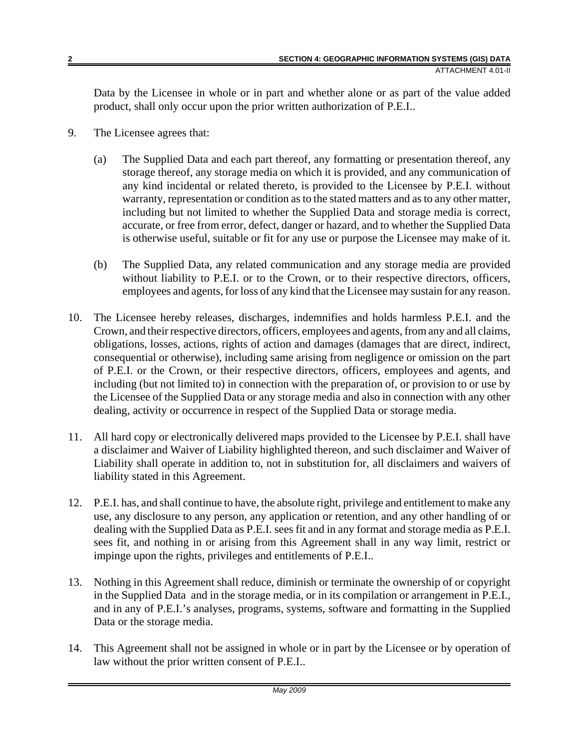Data by the Licensee in whole or in part and whether alone or as part of the value added product, shall only occur upon the prior written authorization of P.E.I..

- 9. The Licensee agrees that:
	- (a) The Supplied Data and each part thereof, any formatting or presentation thereof, any storage thereof, any storage media on which it is provided, and any communication of any kind incidental or related thereto, is provided to the Licensee by P.E.I. without warranty, representation or condition as to the stated matters and as to any other matter, including but not limited to whether the Supplied Data and storage media is correct, accurate, or free from error, defect, danger or hazard, and to whether the Supplied Data is otherwise useful, suitable or fit for any use or purpose the Licensee may make of it.
	- (b) The Supplied Data, any related communication and any storage media are provided without liability to P.E.I. or to the Crown, or to their respective directors, officers, employees and agents, for loss of any kind that the Licensee may sustain for any reason.
- 10. The Licensee hereby releases, discharges, indemnifies and holds harmless P.E.I. and the Crown, and their respective directors, officers, employees and agents, from any and all claims, obligations, losses, actions, rights of action and damages (damages that are direct, indirect, consequential or otherwise), including same arising from negligence or omission on the part of P.E.I. or the Crown, or their respective directors, officers, employees and agents, and including (but not limited to) in connection with the preparation of, or provision to or use by the Licensee of the Supplied Data or any storage media and also in connection with any other dealing, activity or occurrence in respect of the Supplied Data or storage media.
- 11. All hard copy or electronically delivered maps provided to the Licensee by P.E.I. shall have a disclaimer and Waiver of Liability highlighted thereon, and such disclaimer and Waiver of Liability shall operate in addition to, not in substitution for, all disclaimers and waivers of liability stated in this Agreement.
- 12. P.E.I. has, and shall continue to have, the absolute right, privilege and entitlement to make any use, any disclosure to any person, any application or retention, and any other handling of or dealing with the Supplied Data as P.E.I. sees fit and in any format and storage media as P.E.I. sees fit, and nothing in or arising from this Agreement shall in any way limit, restrict or impinge upon the rights, privileges and entitlements of P.E.I..
- 13. Nothing in this Agreement shall reduce, diminish or terminate the ownership of or copyright in the Supplied Data and in the storage media, or in its compilation or arrangement in P.E.I., and in any of P.E.I.'s analyses, programs, systems, software and formatting in the Supplied Data or the storage media.
- 14. This Agreement shall not be assigned in whole or in part by the Licensee or by operation of law without the prior written consent of P.E.I..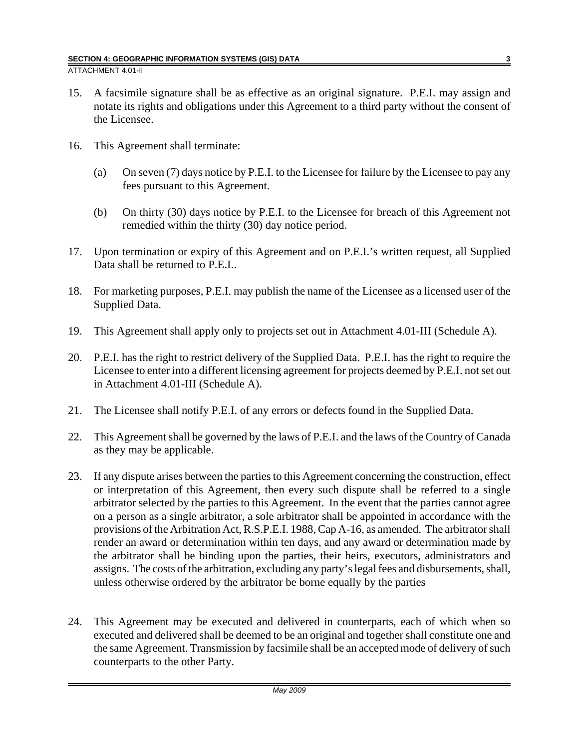- 15. A facsimile signature shall be as effective as an original signature. P.E.I. may assign and notate its rights and obligations under this Agreement to a third party without the consent of the Licensee.
- 16. This Agreement shall terminate:
	- (a) On seven (7) days notice by P.E.I. to the Licensee for failure by the Licensee to pay any fees pursuant to this Agreement.
	- (b) On thirty (30) days notice by P.E.I. to the Licensee for breach of this Agreement not remedied within the thirty (30) day notice period.
- 17. Upon termination or expiry of this Agreement and on P.E.I.'s written request, all Supplied Data shall be returned to P.E.I..
- 18. For marketing purposes, P.E.I. may publish the name of the Licensee as a licensed user of the Supplied Data.
- 19. This Agreement shall apply only to projects set out in Attachment 4.01-III (Schedule A).
- 20. P.E.I. has the right to restrict delivery of the Supplied Data. P.E.I. has the right to require the Licensee to enter into a different licensing agreement for projects deemed by P.E.I. not set out in Attachment 4.01-III (Schedule A).
- 21. The Licensee shall notify P.E.I. of any errors or defects found in the Supplied Data.
- 22. This Agreement shall be governed by the laws of P.E.I. and the laws of the Country of Canada as they may be applicable.
- 23. If any dispute arises between the parties to this Agreement concerning the construction, effect or interpretation of this Agreement, then every such dispute shall be referred to a single arbitrator selected by the parties to this Agreement. In the event that the parties cannot agree on a person as a single arbitrator, a sole arbitrator shall be appointed in accordance with the provisions of the Arbitration Act, R.S.P.E.I. 1988, Cap A-16, as amended. The arbitrator shall render an award or determination within ten days, and any award or determination made by the arbitrator shall be binding upon the parties, their heirs, executors, administrators and assigns. The costs of the arbitration, excluding any party's legal fees and disbursements, shall, unless otherwise ordered by the arbitrator be borne equally by the parties
- 24. This Agreement may be executed and delivered in counterparts, each of which when so executed and delivered shall be deemed to be an original and together shall constitute one and the same Agreement. Transmission by facsimile shall be an accepted mode of delivery of such counterparts to the other Party.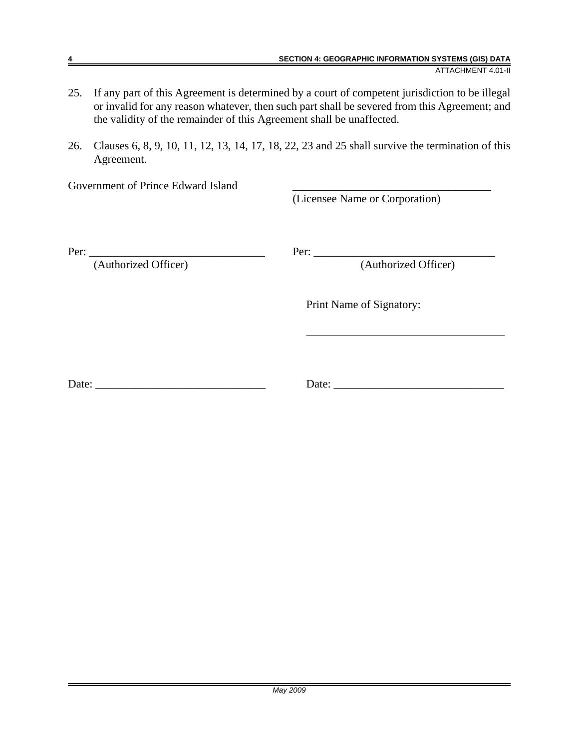- 25. If any part of this Agreement is determined by a court of competent jurisdiction to be illegal or invalid for any reason whatever, then such part shall be severed from this Agreement; and the validity of the remainder of this Agreement shall be unaffected.
- 26. Clauses 6, 8, 9, 10, 11, 12, 13, 14, 17, 18, 22, 23 and 25 shall survive the termination of this Agreement.

Government of Prince Edward Island

(Licensee Name or Corporation)

(Authorized Officer) (Authorized Officer)

Per: \_\_\_\_\_\_\_\_\_\_\_\_\_\_\_\_\_\_\_\_\_\_\_\_\_\_\_\_\_\_\_ Per: \_\_\_\_\_\_\_\_\_\_\_\_\_\_\_\_\_\_\_\_\_\_\_\_\_\_\_\_\_\_\_\_

\_\_\_\_\_\_\_\_\_\_\_\_\_\_\_\_\_\_\_\_\_\_\_\_\_\_\_\_\_\_\_\_\_\_\_

Print Name of Signatory:

Date: \_\_\_\_\_\_\_\_\_\_\_\_\_\_\_\_\_\_\_\_\_\_\_\_\_\_\_\_\_\_ Date: \_\_\_\_\_\_\_\_\_\_\_\_\_\_\_\_\_\_\_\_\_\_\_\_\_\_\_\_\_\_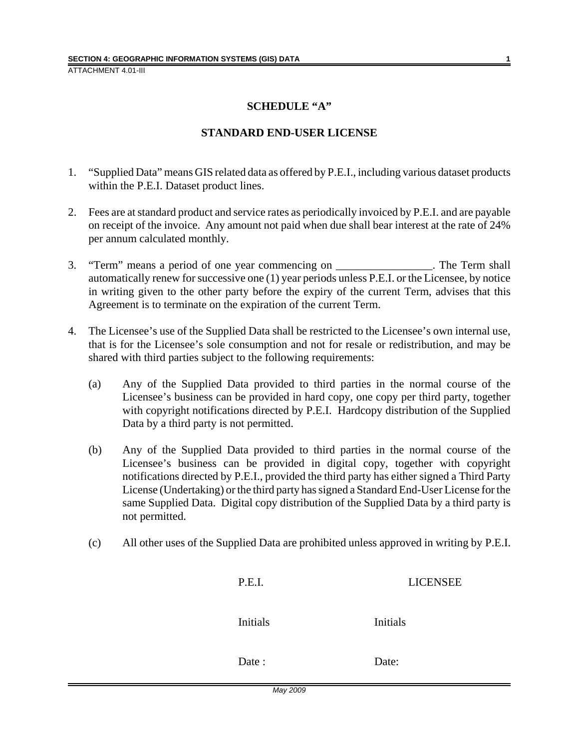#### **SCHEDULE "A"**

#### **STANDARD END-USER LICENSE**

- 1. "Supplied Data" means GIS related data as offered by P.E.I., including various dataset products within the P.E.I. Dataset product lines.
- 2. Fees are at standard product and service rates as periodically invoiced by P.E.I. and are payable on receipt of the invoice. Any amount not paid when due shall bear interest at the rate of 24% per annum calculated monthly.
- 3. "Term" means a period of one year commencing on \_\_\_\_\_\_\_\_\_\_\_\_\_\_\_\_\_. The Term shall automatically renew for successive one (1) year periods unless P.E.I. or the Licensee, by notice in writing given to the other party before the expiry of the current Term, advises that this Agreement is to terminate on the expiration of the current Term.
- 4. The Licensee's use of the Supplied Data shall be restricted to the Licensee's own internal use, that is for the Licensee's sole consumption and not for resale or redistribution, and may be shared with third parties subject to the following requirements:
	- (a) Any of the Supplied Data provided to third parties in the normal course of the Licensee's business can be provided in hard copy, one copy per third party, together with copyright notifications directed by P.E.I. Hardcopy distribution of the Supplied Data by a third party is not permitted.
	- (b) Any of the Supplied Data provided to third parties in the normal course of the Licensee's business can be provided in digital copy, together with copyright notifications directed by P.E.I., provided the third party has either signed a Third Party License (Undertaking) or the third party has signed a Standard End-User License for the same Supplied Data. Digital copy distribution of the Supplied Data by a third party is not permitted.
	- (c) All other uses of the Supplied Data are prohibited unless approved in writing by P.E.I.

| P.E.I.   | <b>LICENSEE</b> |
|----------|-----------------|
| Initials | Initials        |
| Date:    | Date:           |